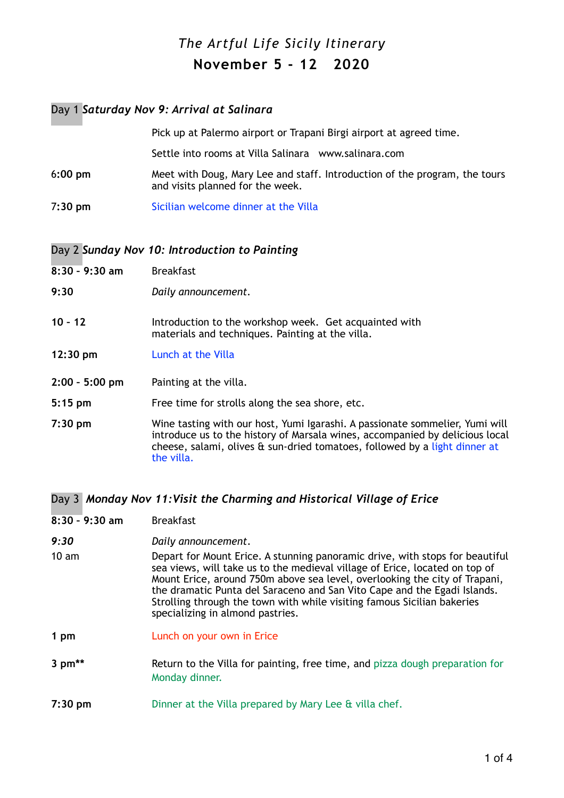# *The Artful Life Sicily Itinerary* **November 5 - 12 2020**

### Day 1 *Saturday Nov 9: Arrival at Salinara*

|           | Pick up at Palermo airport or Trapani Birgi airport at agreed time.                                            |
|-----------|----------------------------------------------------------------------------------------------------------------|
|           | Settle into rooms at Villa Salinara www.salinara.com                                                           |
| $6:00$ pm | Meet with Doug, Mary Lee and staff. Introduction of the program, the tours<br>and visits planned for the week. |
| 7:30 pm   | Sicilian welcome dinner at the Villa                                                                           |
|           |                                                                                                                |

#### Day 2 *Sunday Nov 10: Introduction to Painting*

| $8:30 - 9:30$ am   | <b>Breakfast</b>                                                                                                                                                                                                                                         |
|--------------------|----------------------------------------------------------------------------------------------------------------------------------------------------------------------------------------------------------------------------------------------------------|
| 9:30               | Daily announcement.                                                                                                                                                                                                                                      |
| $10 - 12$          | Introduction to the workshop week. Get acquainted with<br>materials and techniques. Painting at the villa.                                                                                                                                               |
| $12:30 \text{ pm}$ | Lunch at the Villa                                                                                                                                                                                                                                       |
| $2:00 - 5:00$ pm   | Painting at the villa.                                                                                                                                                                                                                                   |
| $5:15$ pm          | Free time for strolls along the sea shore, etc.                                                                                                                                                                                                          |
| $7:30$ pm          | Wine tasting with our host, Yumi Igarashi. A passionate sommelier, Yumi will<br>introduce us to the history of Marsala wines, accompanied by delicious local<br>cheese, salami, olives & sun-dried tomatoes, followed by a light dinner at<br>the villa. |

Day 3 *Monday Nov 11:Visit the Charming and Historical Village of Erice*

- **8:30 9:30 am** Breakfast
- *9:30**Daily announcement*.
- 10 am Depart for Mount Erice. A stunning panoramic drive, with stops for beautiful sea views, will take us to the medieval village of Erice, located on top of Mount Erice, around 750m above sea level, overlooking the city of Trapani, the dramatic Punta del Saraceno and San Vito Cape and the Egadi Islands. Strolling through the town with while visiting famous Sicilian bakeries specializing in almond pastries.
- **1 pm** Lunch on your own in Erice
- **3 pm<sup>\*\*</sup>** Return to the Villa for painting, free time, and pizza dough preparation for Monday dinner.
- **7:30 pm** Dinner at the Villa prepared by Mary Lee & villa chef.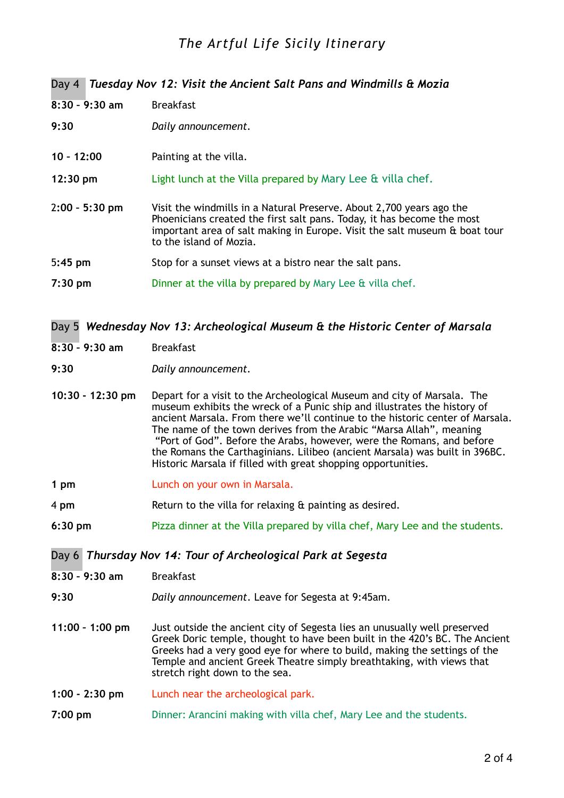## *The Artful Life Sicily Itinerary*

### Day 4 *Tuesday Nov 12: Visit the Ancient Salt Pans and Windmills & Mozia*

| $8:30 - 9:30$ am   | <b>Breakfast</b>                                                                                                                                                                                                                                        |
|--------------------|---------------------------------------------------------------------------------------------------------------------------------------------------------------------------------------------------------------------------------------------------------|
| 9:30               | Daily announcement.                                                                                                                                                                                                                                     |
| $10 - 12:00$       | Painting at the villa.                                                                                                                                                                                                                                  |
| $12:30 \text{ pm}$ | Light lunch at the Villa prepared by Mary Lee & villa chef.                                                                                                                                                                                             |
| 2:00 - 5:30 pm     | Visit the windmills in a Natural Preserve. About 2,700 years ago the<br>Phoenicians created the first salt pans. Today, it has become the most<br>important area of salt making in Europe. Visit the salt museum & boat tour<br>to the island of Mozia. |
| $5:45$ pm          | Stop for a sunset views at a bistro near the salt pans.                                                                                                                                                                                                 |
| 7:30 pm            | Dinner at the villa by prepared by Mary Lee & villa chef.                                                                                                                                                                                               |

### Day 5 *Wednesday Nov 13: Archeological Museum & the Historic Center of Marsala*

- **8:30 9:30 am** Breakfast
- **9:30** *Daily announcement.*
- **10:30 12:30 pm** Depart for a visit to the Archeological Museum and city of Marsala. The museum exhibits the wreck of a Punic ship and illustrates the history of ancient Marsala. From there we'll continue to the historic center of Marsala. The name of the town derives from the Arabic "Marsa Allah", meaning "Port of God". Before the Arabs, however, were the Romans, and before the Romans the Carthaginians. Lilibeo (ancient Marsala) was built in 396BC. Historic Marsala if filled with great shopping opportunities.
- **1 pm Lunch on your own in Marsala.**
- 4 **pm** Return to the villa for relaxing & painting as desired.
- **6:30 pm** Pizza dinner at the Villa prepared by villa chef, Mary Lee and the students.

#### Day 6 *Thursday Nov 14: Tour of Archeological Park at Segesta*

| 8:30 - 9:30 am    | <b>Breakfast</b>                                                                                                                                                                                                                                                                                                                                 |
|-------------------|--------------------------------------------------------------------------------------------------------------------------------------------------------------------------------------------------------------------------------------------------------------------------------------------------------------------------------------------------|
| 9:30              | Daily announcement. Leave for Segesta at 9:45am.                                                                                                                                                                                                                                                                                                 |
| $11:00 - 1:00$ pm | Just outside the ancient city of Segesta lies an unusually well preserved<br>Greek Doric temple, thought to have been built in the 420's BC. The Ancient<br>Greeks had a very good eye for where to build, making the settings of the<br>Temple and ancient Greek Theatre simply breathtaking, with views that<br>stretch right down to the sea. |
| $1:00 - 2:30$ pm  | Lunch near the archeological park.                                                                                                                                                                                                                                                                                                               |

**7:00 pm** Dinner: Arancini making with villa chef, Mary Lee and the students.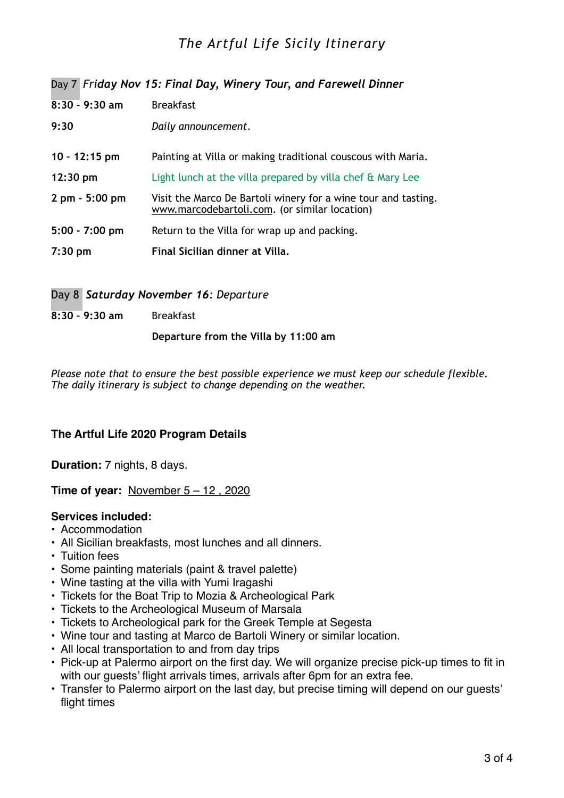## *The Artful Life Sicily Itinerary*

Day 7 *Friday Nov 15: Final Day, Winery Tour, and Farewell Dinner*

| $8:30 - 9:30$ am                 | <b>Breakfast</b>                                                                                                |
|----------------------------------|-----------------------------------------------------------------------------------------------------------------|
| 9:30                             | Daily announcement.                                                                                             |
| $10 - 12:15$ pm                  | Painting at Villa or making traditional couscous with Maria.                                                    |
| $12:30 \text{ pm}$               | Light lunch at the villa prepared by villa chef & Mary Lee                                                      |
| $2 \text{ pm} - 5:00 \text{ pm}$ | Visit the Marco De Bartoli winery for a wine tour and tasting.<br>www.marcodebartoli.com. (or similar location) |
| $5:00 - 7:00$ pm                 | Return to the Villa for wrap up and packing.                                                                    |
| $7:30$ pm                        | Final Sicilian dinner at Villa.                                                                                 |

Day 8 *Saturday November 16: Departure*

**8:30 – 9:30 am** Breakfast

 **Departure from the Villa by 11:00 am**

*Please note that to ensure the best possible experience we must keep our schedule flexible. The daily itinerary is subject to change depending on the weather.*

### **The Artful Life 2020 Program Details**

**Duration:** 7 nights, 8 days.

**Time of year:** November 5 – 12 , 2020

#### **Services included:**

- Accommodation
- All Sicilian breakfasts, most lunches and all dinners.
- Tuition fees
- Some painting materials (paint & travel palette)
- Wine tasting at the villa with Yumi Iragashi
- Tickets for the Boat Trip to Mozia & Archeological Park
- Tickets to the Archeological Museum of Marsala
- Tickets to Archeological park for the Greek Temple at Segesta
- Wine tour and tasting at Marco de Bartoli Winery or similar location.
- All local transportation to and from day trips
- Pick-up at Palermo airport on the first day. We will organize precise pick-up times to fit in with our guests' flight arrivals times, arrivals after 6pm for an extra fee.
- Transfer to Palermo airport on the last day, but precise timing will depend on our guests' flight times